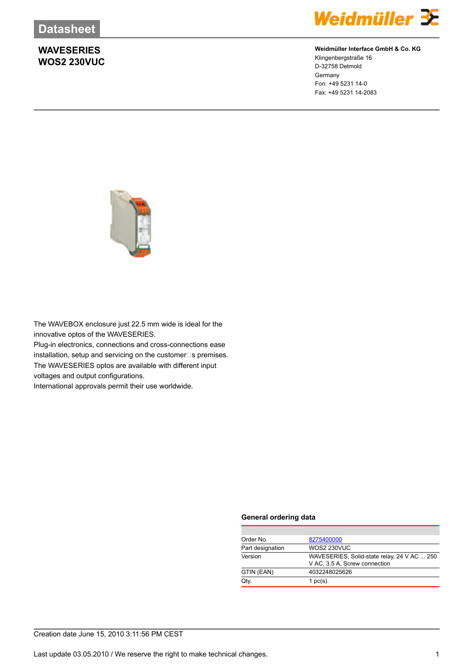### **WAVESERIES WOS2 230VUC**



#### **Weidmüller Interface GmbH & Co. KG**

Klingenbergstraße 16 D-32758 Detmold Germany Fon: +49 5231 14-0 Fax: +49 5231 14-2083



The WAVEBOX enclosure just 22.5 mm wide is ideal for the innovative optos of the WAVESERIES. Plug-in electronics, connections and cross-connections ease installation, setup and servicing on the customer $\square$ s premises. The WAVESERIES optos are available with different input voltages and output configurations.

International approvals permit their use worldwide.

#### **General ordering data**

| 8275400000                                  |
|---------------------------------------------|
| <b>WOS2 230VUC</b>                          |
| WAVESERIES, Solid-state relay, 24 V AC  250 |
| V AC, 3.5 A, Screw connection               |
| 4032248025626                               |
| 1 $pc(s)$ .                                 |
|                                             |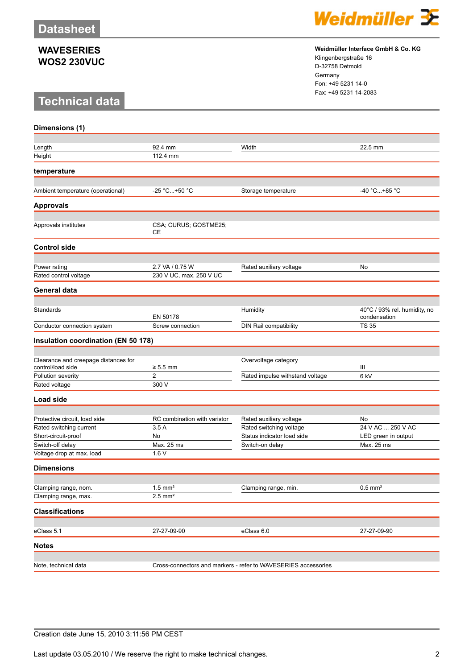#### **WAVESERIES WOS2 230VUC**

# **Technical data**



**Weidmüller Interface GmbH & Co. KG** Klingenbergstraße 16 D-32758 Detmold Germany

Fon: +49 5231 14-0 Fax: +49 5231 14-2083

| Dimensions (1)                                            |                                                                |                                 |                                              |
|-----------------------------------------------------------|----------------------------------------------------------------|---------------------------------|----------------------------------------------|
|                                                           |                                                                |                                 |                                              |
| Length                                                    | 92.4 mm                                                        | Width                           | 22.5 mm                                      |
| Height                                                    | 112.4 mm                                                       |                                 |                                              |
| temperature                                               |                                                                |                                 |                                              |
|                                                           |                                                                |                                 |                                              |
| Ambient temperature (operational)                         | -25 °C+50 °C                                                   | Storage temperature             | -40 °C+85 °C                                 |
| <b>Approvals</b>                                          |                                                                |                                 |                                              |
| Approvals institutes                                      | CSA; CURUS; GOSTME25;                                          |                                 |                                              |
|                                                           | СE                                                             |                                 |                                              |
| <b>Control side</b>                                       |                                                                |                                 |                                              |
| Power rating                                              | 2.7 VA / 0.75 W                                                | Rated auxiliary voltage         | No                                           |
| Rated control voltage                                     | 230 V UC, max. 250 V UC                                        |                                 |                                              |
| General data                                              |                                                                |                                 |                                              |
|                                                           |                                                                |                                 |                                              |
| Standards                                                 | EN 50178                                                       | Humidity                        | 40°C / 93% rel. humidity, no<br>condensation |
| Conductor connection system                               | Screw connection                                               | DIN Rail compatibility          | <b>TS 35</b>                                 |
| <b>Insulation coordination (EN 50 178)</b>                |                                                                |                                 |                                              |
|                                                           |                                                                |                                 |                                              |
| Clearance and creepage distances for<br>control/load side | $\geq 5.5$ mm                                                  | Overvoltage category            | Ш                                            |
| Pollution severity                                        | 2                                                              | Rated impulse withstand voltage | 6 kV                                         |
| Rated voltage                                             | 300 V                                                          |                                 |                                              |
| <b>Load side</b>                                          |                                                                |                                 |                                              |
|                                                           |                                                                |                                 |                                              |
| Protective circuit, load side                             | RC combination with varistor                                   | Rated auxiliary voltage         | No                                           |
| Rated switching current                                   | 3.5A                                                           | Rated switching voltage         | 24 V AC  250 V AC                            |
| Short-circuit-proof                                       | No                                                             | Status indicator load side      | LED green in output                          |
| Switch-off delay                                          | Max. 25 ms                                                     | Switch-on delay                 | Max. 25 ms                                   |
| Voltage drop at max. load                                 | 1.6V                                                           |                                 |                                              |
| <b>Dimensions</b>                                         |                                                                |                                 |                                              |
| Clamping range, nom.                                      | $1.5$ mm <sup>2</sup>                                          | Clamping range, min.            | $0.5$ mm <sup>2</sup>                        |
| Clamping range, max.                                      | $2.5$ mm <sup>2</sup>                                          |                                 |                                              |
|                                                           |                                                                |                                 |                                              |
| <b>Classifications</b>                                    |                                                                |                                 |                                              |
| eClass 5.1                                                | 27-27-09-90                                                    | eClass 6.0                      | 27-27-09-90                                  |
| <b>Notes</b>                                              |                                                                |                                 |                                              |
|                                                           |                                                                |                                 |                                              |
| Note, technical data                                      | Cross-connectors and markers - refer to WAVESERIES accessories |                                 |                                              |